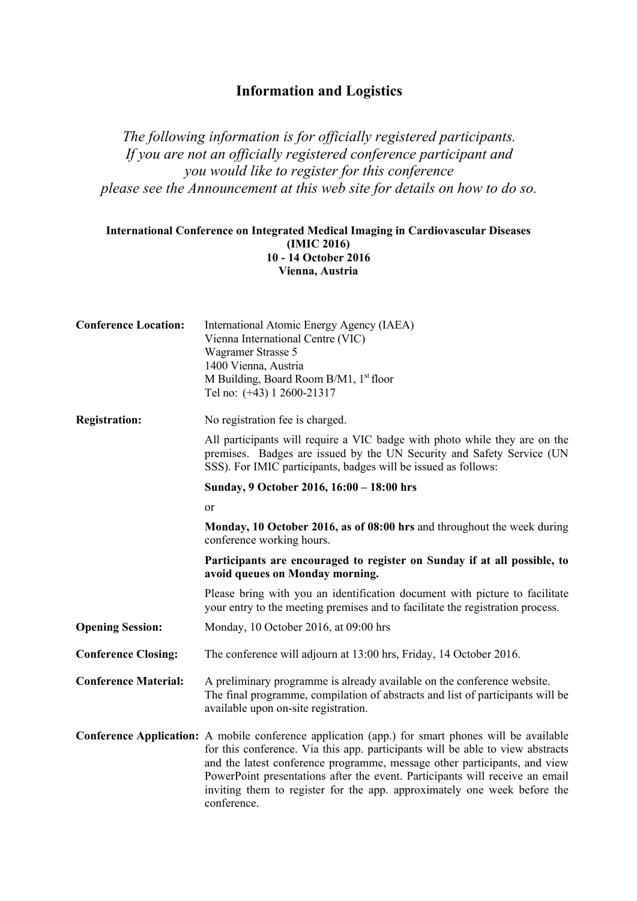## **Information and Logistics**

*The following information is for officially registered participants. If you are not an officially registered conference participant and you would like to register for this conference please see the Announcement at this web site for details on how to do so.* 

## **International Conference on Integrated Medical Imaging in Cardiovascular Diseases (IMIC 2016) 10 - 14 October 2016 Vienna, Austria**

| <b>Conference Location:</b> | International Atomic Energy Agency (IAEA)<br>Vienna International Centre (VIC)<br>Wagramer Strasse 5<br>1400 Vienna, Austria<br>M Building, Board Room B/M1, 1 <sup>st</sup> floor<br>Tel no: (+43) 1 2600-21317                                                                                                                                                                                                                                   |
|-----------------------------|----------------------------------------------------------------------------------------------------------------------------------------------------------------------------------------------------------------------------------------------------------------------------------------------------------------------------------------------------------------------------------------------------------------------------------------------------|
| <b>Registration:</b>        | No registration fee is charged.                                                                                                                                                                                                                                                                                                                                                                                                                    |
|                             | All participants will require a VIC badge with photo while they are on the<br>premises. Badges are issued by the UN Security and Safety Service (UN<br>SSS). For IMIC participants, badges will be issued as follows:                                                                                                                                                                                                                              |
|                             | Sunday, 9 October 2016, 16:00 - 18:00 hrs                                                                                                                                                                                                                                                                                                                                                                                                          |
|                             | or                                                                                                                                                                                                                                                                                                                                                                                                                                                 |
|                             | Monday, 10 October 2016, as of 08:00 hrs and throughout the week during<br>conference working hours.                                                                                                                                                                                                                                                                                                                                               |
|                             | Participants are encouraged to register on Sunday if at all possible, to<br>avoid queues on Monday morning.                                                                                                                                                                                                                                                                                                                                        |
|                             | Please bring with you an identification document with picture to facilitate<br>your entry to the meeting premises and to facilitate the registration process.                                                                                                                                                                                                                                                                                      |
| <b>Opening Session:</b>     | Monday, 10 October 2016, at 09:00 hrs                                                                                                                                                                                                                                                                                                                                                                                                              |
| <b>Conference Closing:</b>  | The conference will adjourn at 13:00 hrs, Friday, 14 October 2016.                                                                                                                                                                                                                                                                                                                                                                                 |
| <b>Conference Material:</b> | A preliminary programme is already available on the conference website.<br>The final programme, compilation of abstracts and list of participants will be<br>available upon on-site registration.                                                                                                                                                                                                                                                  |
|                             | <b>Conference Application:</b> A mobile conference application (app.) for smart phones will be available<br>for this conference. Via this app. participants will be able to view abstracts<br>and the latest conference programme, message other participants, and view<br>PowerPoint presentations after the event. Participants will receive an email<br>inviting them to register for the app. approximately one week before the<br>conference. |